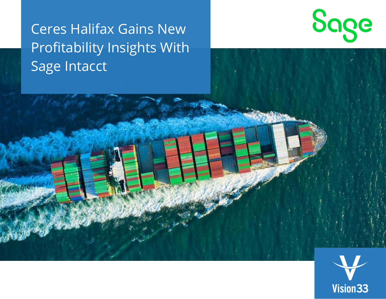# Ceres Halifax Gains New Profitability Insights With Sage Intacct





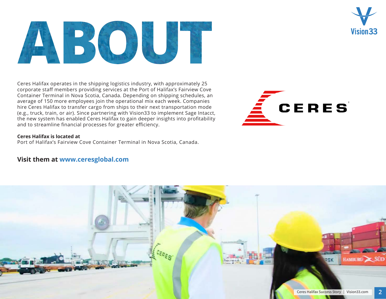Ceres Halifax operates in the shipping logistics industry, with approximately 25 corporate staff members providing services at the Port of Halifax's Fairview Cove Container Terminal in Nova Scotia, Canada. Depending on shipping schedules, an average of 150 more employees join the operational mix each week. Companies hire Ceres Halifax to transfer cargo from ships to their next transportation mode (e.g., truck, train, or air). Since partnering with Vision33 to implement Sage Intacct, the new system has enabled Ceres Halifax to gain deeper insights into profitability and to streamline financial processes for greater efficiency.

### **Ceres Halifax is located at**

Port of Halifax's Fairview Cove Container Terminal in Nova Scotia, Canada.

### **Visit them at [www.ceresglobal.com](https://www.ceresglobal.com/)**



RSK





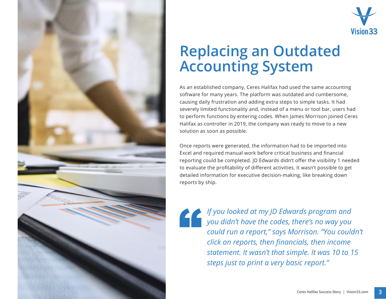



## **Replacing an Outdated Accounting System**

As an established company, Ceres Halifax had used the same accounting software for many years. The platform was outdated and cumbersome, causing daily frustration and adding extra steps to simple tasks. It had severely limited functionality and, instead of a menu or tool bar, users had to perform functions by entering codes. When James Morrison joined Ceres Halifax as controller in 2019, the company was ready to move to a new solution as soon as possible.

Once reports were generated, the information had to be imported into Excel and required manual work before critical business and financial reporting could be completed. JD Edwards didn't offer the visibility 1 needed to evaluate the profitability of different activities. It wasn't possible to get detailed information for executive decision-making, like breaking down reports by ship.

" *If you looked at my JD Edwards program and you didn't have the codes, there's no way you could run a report," says Morrison. "You couldn't click on reports, then financials, then income statement. It wasn't that simple. It was 10 to 15 steps just to print a very basic report."*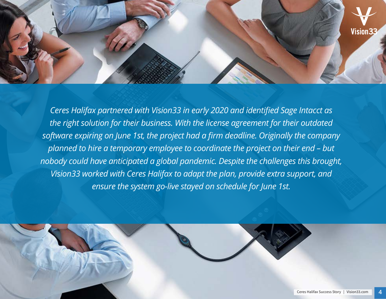

*Ceres Halifax partnered with Vision33 in early 2020 and identified Sage Intacct as the right solution for their business. With the license agreement for their outdated software expiring on June 1st, the project had a firm deadline. Originally the company planned to hire a temporary employee to coordinate the project on their end – but nobody could have anticipated a global pandemic. Despite the challenges this brought, Vision33 worked with Ceres Halifax to adapt the plan, provide extra support, and ensure the system go-live stayed on schedule for June 1st.* 

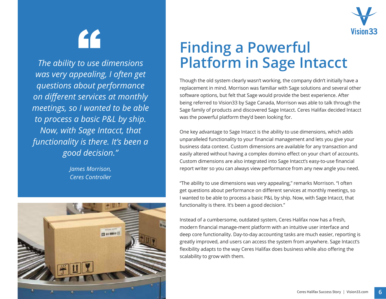Vision 33

[4]

*The ability to use dimensions was very appealing, I often get questions about performance on different services at monthly meetings, so I wanted to be able to process a basic P&L by ship. Now, with Sage Intacct, that functionality is there. It's been a good decision."* 

> *James Morrison, Ceres Controller*



## **Finding a Powerful Platform in Sage Intacct**

Though the old system clearly wasn't working, the company didn't initially have a replacement in mind. Morrison was familiar with Sage solutions and several other software options, but felt that Sage would provide the best experience. After being referred to Vision33 by Sage Canada, Morrison was able to talk through the Sage family of products and discovered Sage Intacct. Ceres Halifax decided Intacct was the powerful platform they'd been looking for.

One key advantage to Sage Intacct is the ability to use dimensions, which adds unparalleled functionality to your financial management and lets you give your business data context. Custom dimensions are available for any transaction and easily altered without having a complex domino effect on your chart of accounts. Custom dimensions are also integrated into Sage Intacct's easy-to-use financial report writer so you can always view performance from any new angle you need.

"The ability to use dimensions was very appealing," remarks Morrison. "I often get questions about performance on different services at monthly meetings, so I wanted to be able to process a basic P&L by ship. Now, with Sage Intacct, that functionality is there. It's been a good decision."

Instead of a cumbersome, outdated system, Ceres Halifax now has a fresh, modern financial manage-ment platform with an intuitive user interface and deep core functionality. Day-to-day accounting tasks are much easier, reporting is greatly improved, and users can access the system from anywhere. Sage Intacct's flexibility adapts to the way Ceres Halifax does business while also offering the scalability to grow with them.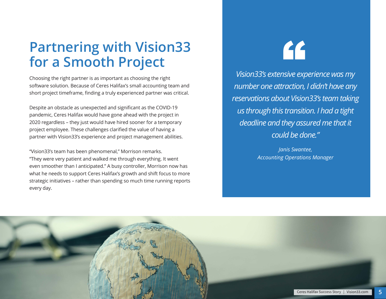## **Partnering with Vision33 for a Smooth Project**

Choosing the right partner is as important as choosing the right software solution. Because of Ceres Halifax's small accounting team and short project timeframe, finding a truly experienced partner was critical.

Despite an obstacle as unexpected and significant as the COVID-19 pandemic, Ceres Halifax would have gone ahead with the project in 2020 regardless – they just would have hired sooner for a temporary project employee. These challenges clarified the value of having a partner with Vision33's experience and project management abilities.

"Vision33's team has been phenomenal," Morrison remarks. "They were very patient and walked me through everything. It went even smoother than I anticipated." A busy controller, Morrison now has what he needs to support Ceres Halifax's growth and shift focus to more strategic initiatives – rather than spending so much time running reports every day.

# **"**

*Vision33's extensive experience was my number one attraction, I didn't have any reservations about Vision33's team taking us through this transition. I had a tight deadline and they assured me that it could be done."*

> *Janis Swantee, Accounting Operations Manager*